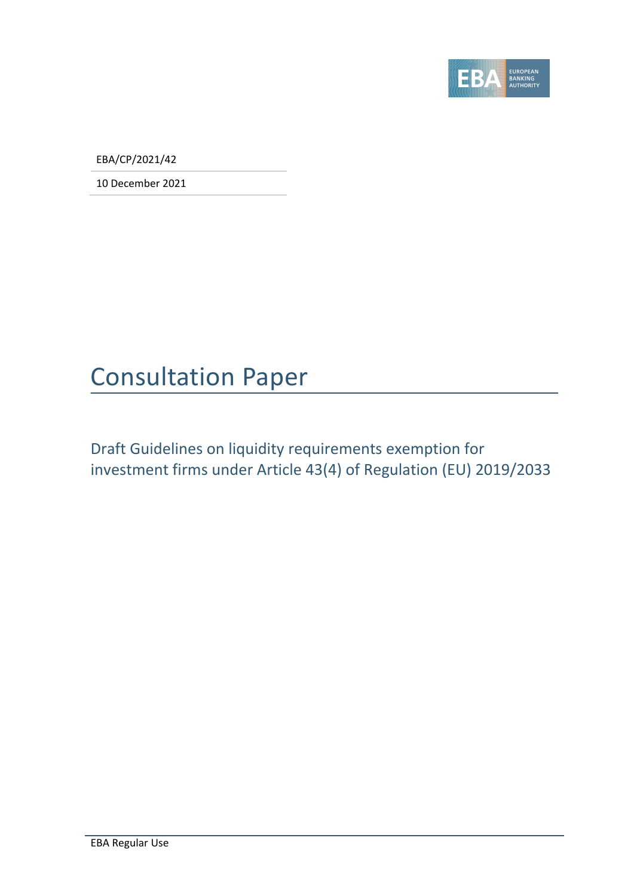

EBA/CP/2021/42

10 December 2021

## Consultation Paper

Draft Guidelines on liquidity requirements exemption for investment firms under Article 43(4) of Regulation (EU) 2019/2033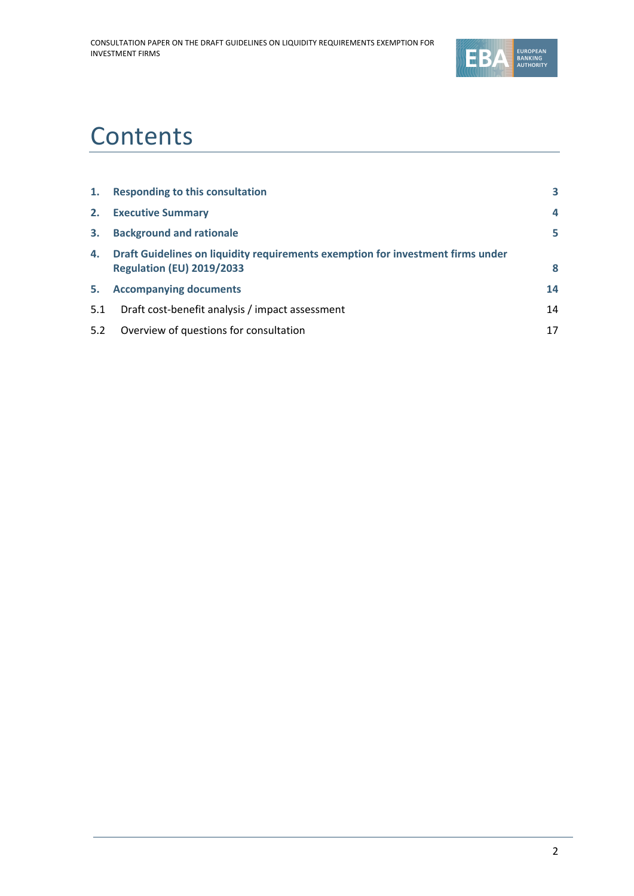

## **Contents**

| 1.  | <b>Responding to this consultation</b>                                                                              | 3  |
|-----|---------------------------------------------------------------------------------------------------------------------|----|
| 2.  | <b>Executive Summary</b>                                                                                            | 4  |
| 3.  | <b>Background and rationale</b>                                                                                     | 5  |
| 4.  | Draft Guidelines on liquidity requirements exemption for investment firms under<br><b>Regulation (EU) 2019/2033</b> | 8  |
| 5.  | <b>Accompanying documents</b>                                                                                       | 14 |
| 5.1 | Draft cost-benefit analysis / impact assessment                                                                     | 14 |
| 5.2 | Overview of questions for consultation                                                                              | 17 |
|     |                                                                                                                     |    |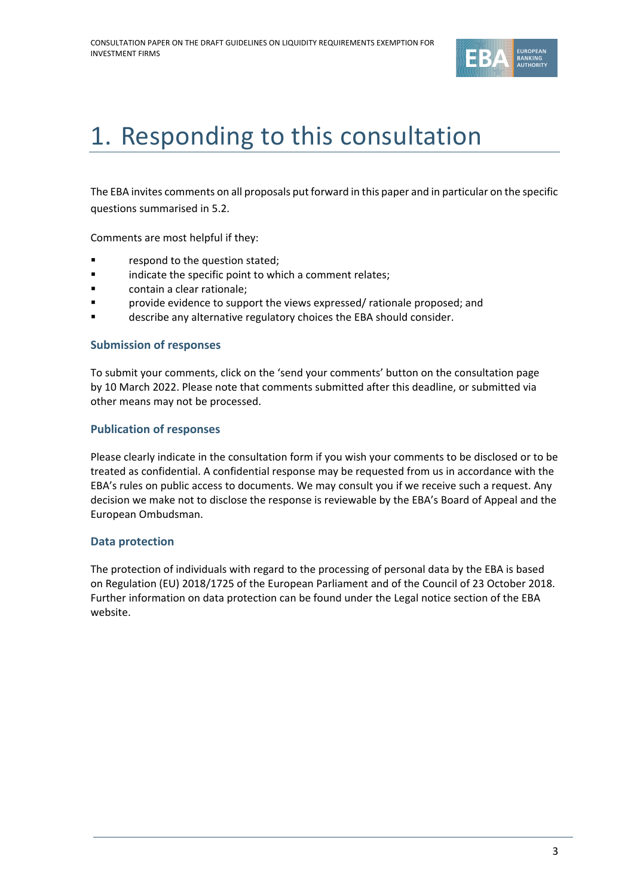

## <span id="page-2-0"></span>1. Responding to this consultation

The EBA invites comments on all proposals put forward in this paper and in particular on the specific questions summarised in 5.2.

Comments are most helpful if they:

- respond to the question stated;
- indicate the specific point to which a comment relates;
- contain a clear rationale;
- **Provide evidence to support the views expressed/ rationale proposed; and**
- describe any alternative regulatory choices the EBA should consider.

#### **Submission of responses**

To submit your comments, click on the 'send your comments' button on the consultation page by 10 March 2022. Please note that comments submitted after this deadline, or submitted via other means may not be processed.

#### **Publication of responses**

Please clearly indicate in the consultation form if you wish your comments to be disclosed or to be treated as confidential. A confidential response may be requested from us in accordance with the EBA's rules on public access to documents. We may consult you if we receive such a request. Any decision we make not to disclose the response is reviewable by the EBA's Board of Appeal and the European Ombudsman.

#### **Data protection**

The protection of individuals with regard to the processing of personal data by the EBA is based on Regulation (EU) 2018/1725 of the European Parliament and of the Council of 23 October 2018. Further information on data protection can be found under the [Legal notice section](http://eba.europa.eu/legal-notice) of the EBA website.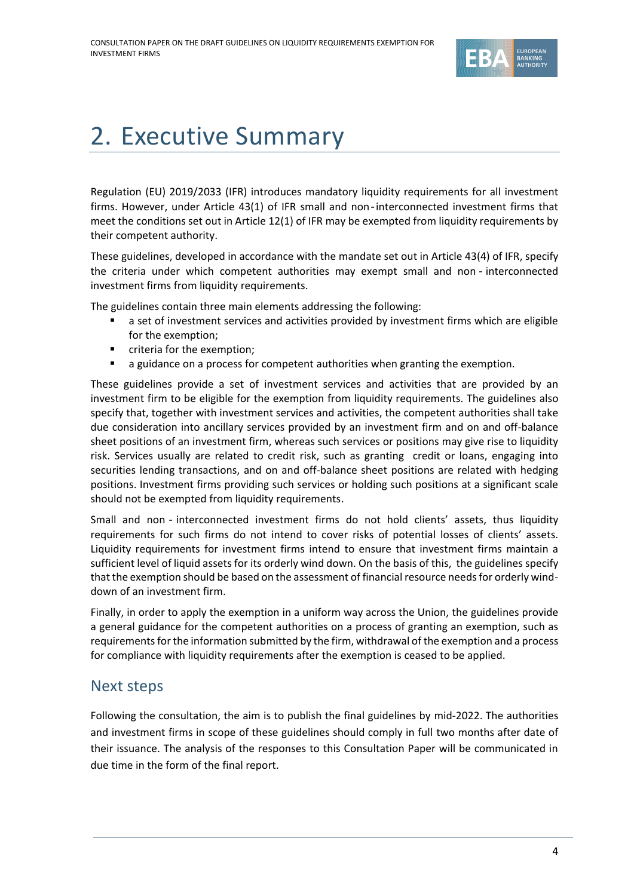

# <span id="page-3-0"></span>2. Executive Summary

Regulation (EU) 2019/2033 (IFR) introduces mandatory liquidity requirements for all investment firms. However, under Article 43(1) of IFR small and non‐interconnected investment firms that meet the conditions set out in Article 12(1) of IFR may be exempted from liquidity requirements by their competent authority.

These guidelines, developed in accordance with the mandate set out in Article 43(4) of IFR, specify the criteria under which competent authorities may exempt small and non ‐ interconnected investment firms from liquidity requirements.

The guidelines contain three main elements addressing the following:

- a set of investment services and activities provided by investment firms which are eligible for the exemption;
- criteria for the exemption;
- a guidance on a process for competent authorities when granting the exemption.

These guidelines provide a set of investment services and activities that are provided by an investment firm to be eligible for the exemption from liquidity requirements. The guidelines also specify that, together with investment services and activities, the competent authorities shall take due consideration into ancillary services provided by an investment firm and on and off-balance sheet positions of an investment firm, whereas such services or positions may give rise to liquidity risk. Services usually are related to credit risk, such as granting credit or loans, engaging into securities lending transactions, and on and off-balance sheet positions are related with hedging positions. Investment firms providing such services or holding such positions at a significant scale should not be exempted from liquidity requirements.

Small and non ‐ interconnected investment firms do not hold clients' assets, thus liquidity requirements for such firms do not intend to cover risks of potential losses of clients' assets. Liquidity requirements for investment firms intend to ensure that investment firms maintain a sufficient level of liquid assets for its orderly wind down. On the basis of this, the guidelines specify that the exemption should be based on the assessment of financial resource needs for orderly winddown of an investment firm.

Finally, in order to apply the exemption in a uniform way across the Union, the guidelines provide a general guidance for the competent authorities on a process of granting an exemption, such as requirements for the information submitted by the firm, withdrawal of the exemption and a process for compliance with liquidity requirements after the exemption is ceased to be applied.

### Next steps

Following the consultation, the aim is to publish the final guidelines by mid-2022. The authorities and investment firms in scope of these guidelines should comply in full two months after date of their issuance. The analysis of the responses to this Consultation Paper will be communicated in due time in the form of the final report.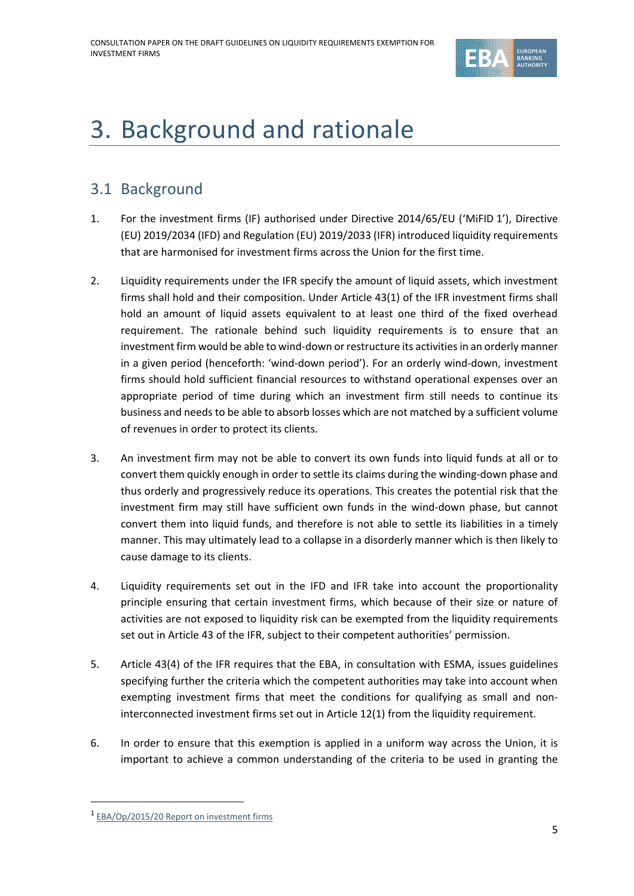

# <span id="page-4-0"></span>3. Background and rationale

## 3.1 Background

- 1. For the investment firms (IF) authorised under Directive 2014/65/EU ('MiFID 1'), Directive (EU) 2019/2034 (IFD) and Regulation (EU) 2019/2033 (IFR) introduced liquidity requirements that are harmonised for investment firms across the Union for the first time.
- 2. Liquidity requirements under the IFR specify the amount of liquid assets, which investment firms shall hold and their composition. Under Article 43(1) of the IFR investment firms shall hold an amount of liquid assets equivalent to at least one third of the fixed overhead requirement. The rationale behind such liquidity requirements is to ensure that an investment firm would be able to wind-down or restructure its activities in an orderly manner in a given period (henceforth: 'wind-down period'). For an orderly wind-down, investment firms should hold sufficient financial resources to withstand operational expenses over an appropriate period of time during which an investment firm still needs to continue its business and needs to be able to absorb losses which are not matched by a sufficient volume of revenues in order to protect its clients.
- 3. An investment firm may not be able to convert its own funds into liquid funds at all or to convert them quickly enough in order to settle its claims during the winding-down phase and thus orderly and progressively reduce its operations. This creates the potential risk that the investment firm may still have sufficient own funds in the wind-down phase, but cannot convert them into liquid funds, and therefore is not able to settle its liabilities in a timely manner. This may ultimately lead to a collapse in a disorderly manner which is then likely to cause damage to its clients.
- 4. Liquidity requirements set out in the IFD and IFR take into account the proportionality principle ensuring that certain investment firms, which because of their size or nature of activities are not exposed to liquidity risk can be exempted from the liquidity requirements set out in Article 43 of the IFR, subject to their competent authorities' permission.
- 5. Article 43(4) of the IFR requires that the EBA, in consultation with ESMA, issues guidelines specifying further the criteria which the competent authorities may take into account when exempting investment firms that meet the conditions for qualifying as small and noninterconnected investment firms set out in Article 12(1) from the liquidity requirement.
- 6. In order to ensure that this exemption is applied in a uniform way across the Union, it is important to achieve a common understanding of the criteria to be used in granting the

<sup>&</sup>lt;sup>1</sup> [EBA/Op/2015/20 Report on investment firms](https://eba.europa.eu/sites/default/documents/files/documents/10180/983359/0bd8f11e-4a5e-4e33-ad13-d9dbe23ea1af/EBA-Op-2015-20%20Report%20on%20investment%20firms.pdf)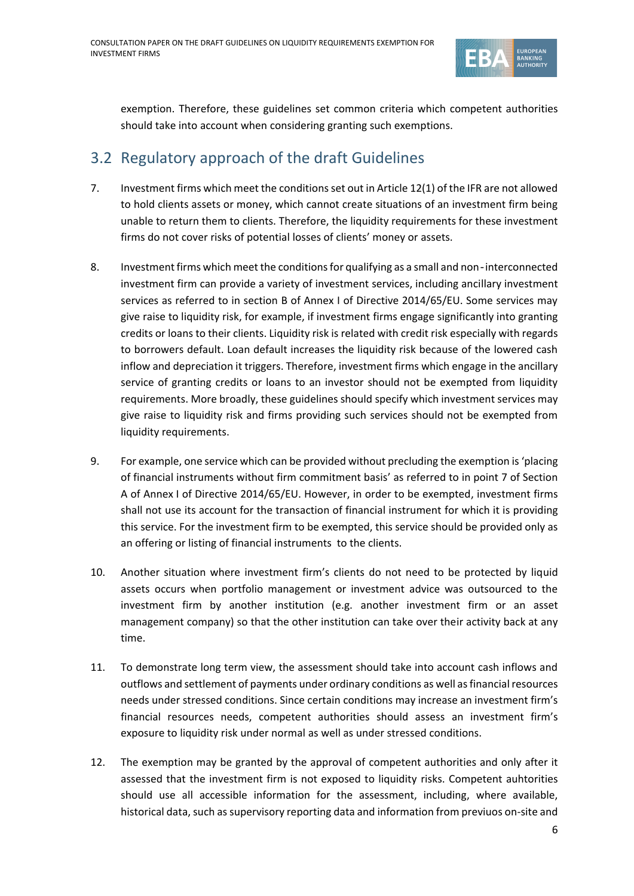

exemption. Therefore, these guidelines set common criteria which competent authorities should take into account when considering granting such exemptions.

## 3.2 Regulatory approach of the draft Guidelines

- 7. Investment firms which meet the conditions set out in Article 12(1) of the IFR are not allowed to hold clients assets or money, which cannot create situations of an investment firm being unable to return them to clients. Therefore, the liquidity requirements for these investment firms do not cover risks of potential losses of clients' money or assets.
- 8. Investment firms which meet the conditions for qualifying as a small and non-interconnected investment firm can provide a variety of investment services, including ancillary investment services as referred to in section B of Annex I of Directive 2014/65/EU. Some services may give raise to liquidity risk, for example, if investment firms engage significantly into granting credits or loans to their clients. Liquidity risk is related with credit risk especially with regards to borrowers default. Loan default increases the liquidity risk because of the lowered cash inflow and depreciation it triggers. Therefore, investment firms which engage in the ancillary service of granting credits or loans to an investor should not be exempted from liquidity requirements. More broadly, these guidelines should specify which investment services may give raise to liquidity risk and firms providing such services should not be exempted from liquidity requirements.
- 9. For example, one service which can be provided without precluding the exemption is 'placing of financial instruments without firm commitment basis' as referred to in point 7 of Section A of Annex I of Directive 2014/65/EU. However, in order to be exempted, investment firms shall not use its account for the transaction of financial instrument for which it is providing this service. For the investment firm to be exempted, this service should be provided only as an offering or listing of financial instruments to the clients.
- 10. Another situation where investment firm's clients do not need to be protected by liquid assets occurs when portfolio management or investment advice was outsourced to the investment firm by another institution (e.g. another investment firm or an asset management company) so that the other institution can take over their activity back at any time.
- 11. To demonstrate long term view, the assessment should take into account cash inflows and outflows and settlement of payments under ordinary conditions as well as financial resources needs under stressed conditions. Since certain conditions may increase an investment firm's financial resources needs, competent authorities should assess an investment firm's exposure to liquidity risk under normal as well as under stressed conditions.
- 12. The exemption may be granted by the approval of competent authorities and only after it assessed that the investment firm is not exposed to liquidity risks. Competent auhtorities should use all accessible information for the assessment, including, where available, historical data, such as supervisory reporting data and information from previuos on-site and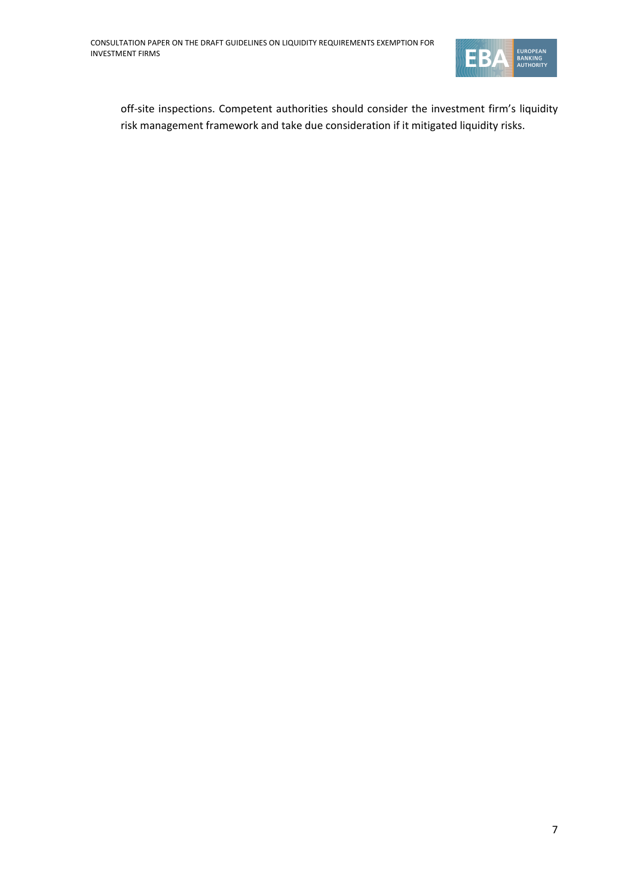

off-site inspections. Competent authorities should consider the investment firm's liquidity risk management framework and take due consideration if it mitigated liquidity risks.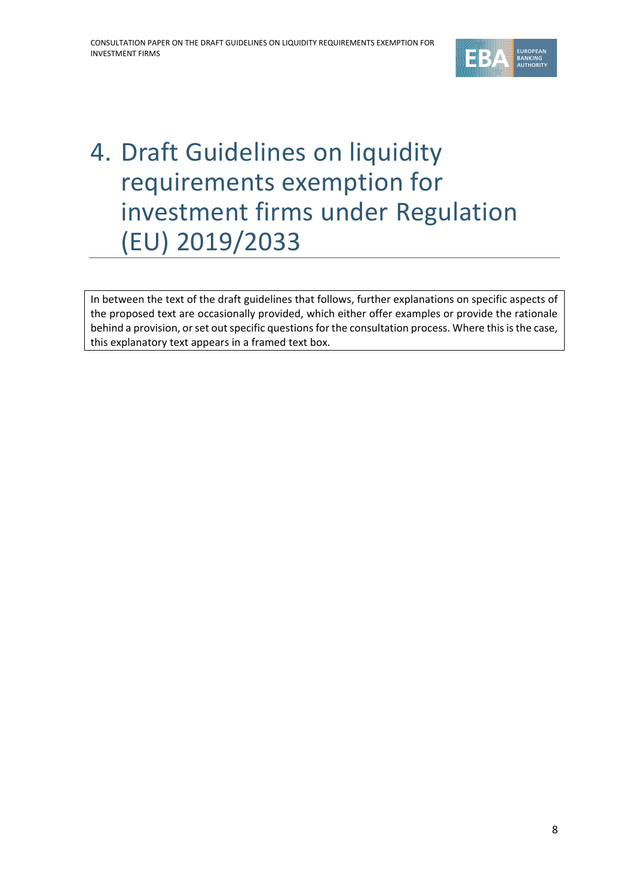

# <span id="page-7-0"></span>4. Draft Guidelines on liquidity requirements exemption for investment firms under Regulation (EU) 2019/2033

In between the text of the draft guidelines that follows, further explanations on specific aspects of the proposed text are occasionally provided, which either offer examples or provide the rationale behind a provision, or set out specific questions for the consultation process. Where this is the case, this explanatory text appears in a framed text box.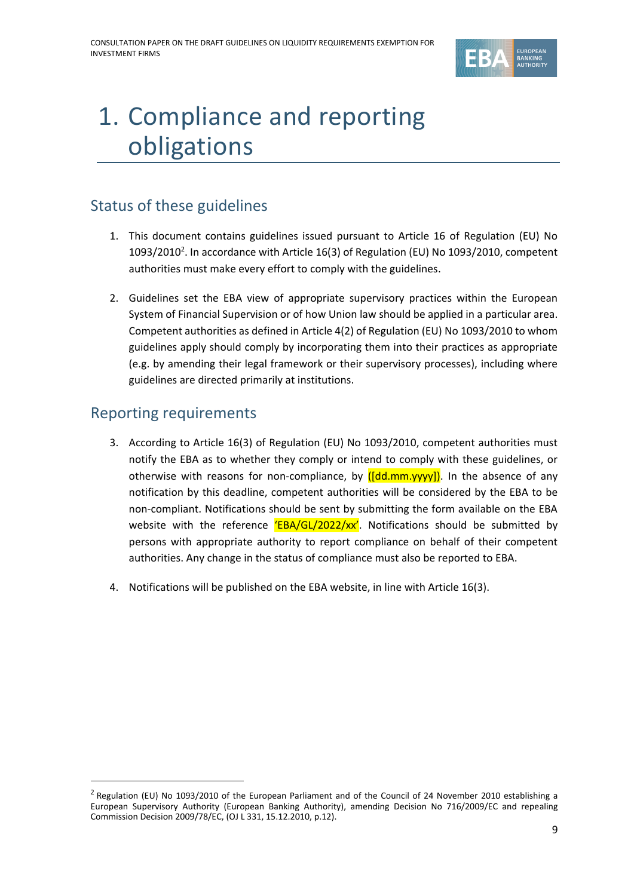

## 1. Compliance and reporting obligations

## Status of these guidelines

- 1. This document contains guidelines issued pursuant to Article 16 of Regulation (EU) No 1093/2010<sup>2</sup>. In accordance with Article 16(3) of Regulation (EU) No 1093/2010, competent authorities must make every effort to comply with the guidelines.
- 2. Guidelines set the EBA view of appropriate supervisory practices within the European System of Financial Supervision or of how Union law should be applied in a particular area. Competent authorities as defined in Article 4(2) of Regulation (EU) No 1093/2010 to whom guidelines apply should comply by incorporating them into their practices as appropriate (e.g. by amending their legal framework or their supervisory processes), including where guidelines are directed primarily at institutions.

### Reporting requirements

- 3. According to Article 16(3) of Regulation (EU) No 1093/2010, competent authorities must notify the EBA as to whether they comply or intend to comply with these guidelines, or otherwise with reasons for non-compliance, by  $([dd.mm.yyy])$ . In the absence of any notification by this deadline, competent authorities will be considered by the EBA to be non‐compliant. Notifications should be sent by submitting the form available on the EBA website with the reference  $EBA/GL/2022/xx'$ . Notifications should be submitted by persons with appropriate authority to report compliance on behalf of their competent authorities. Any change in the status of compliance must also be reported to EBA.
- 4. Notifications will be published on the EBA website, in line with Article 16(3).

 $^2$  Regulation (EU) No 1093/2010 of the European Parliament and of the Council of 24 November 2010 establishing a European Supervisory Authority (European Banking Authority), amending Decision No 716/2009/EC and repealing Commission Decision 2009/78/EC, (OJ L 331, 15.12.2010, p.12).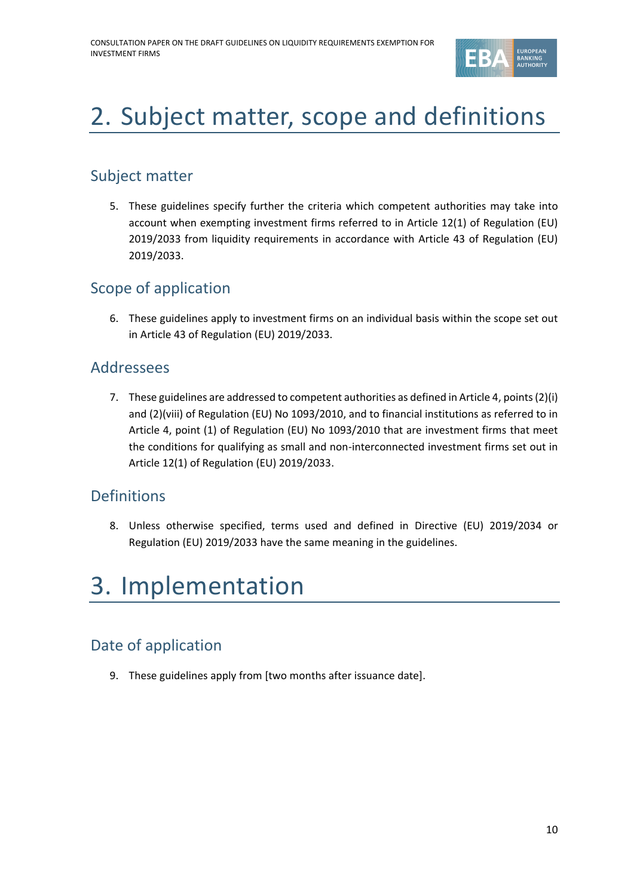

# 2. Subject matter, scope and definitions

## Subject matter

5. These guidelines specify further the criteria which competent authorities may take into account when exempting investment firms referred to in Article 12(1) of Regulation (EU) 2019/2033 from liquidity requirements in accordance with Article 43 of Regulation (EU) 2019/2033.

## Scope of application

6. These guidelines apply to investment firms on an individual basis within the scope set out in Article 43 of Regulation (EU) 2019/2033.

### Addressees

7. These guidelines are addressed to competent authorities as defined in Article 4, points(2)(i) and (2)(viii) of Regulation (EU) No 1093/2010, and to financial institutions as referred to in Article 4, point (1) of Regulation (EU) No 1093/2010 that are investment firms that meet the conditions for qualifying as small and non-interconnected investment firms set out in Article 12(1) of Regulation (EU) 2019/2033.

## Definitions

8. Unless otherwise specified, terms used and defined in Directive (EU) 2019/2034 or Regulation (EU) 2019/2033 have the same meaning in the guidelines.

## 3. Implementation

## Date of application

9. These guidelines apply from [two months after issuance date].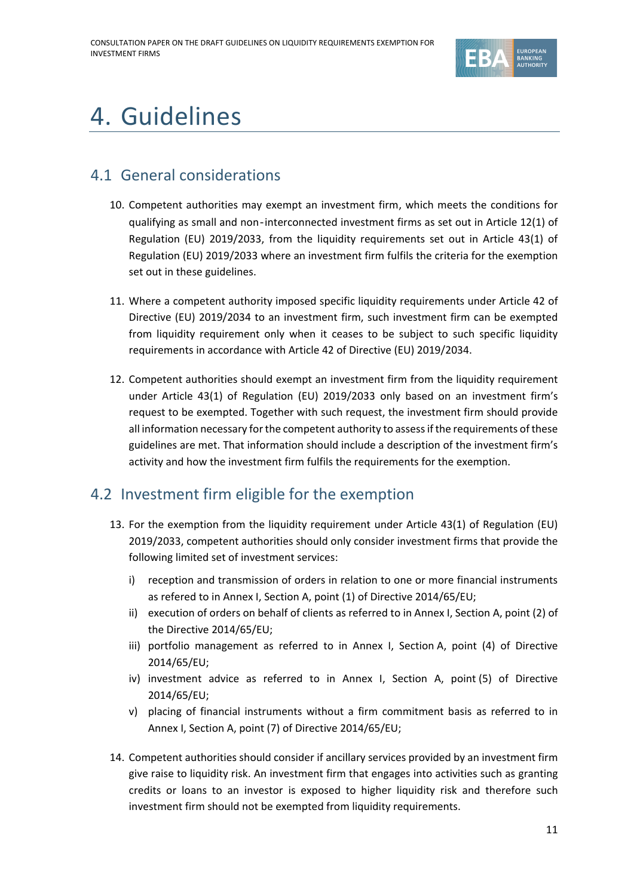

# 4. Guidelines

## 4.1 General considerations

- 10. Competent authorities may exempt an investment firm, which meets the conditions for qualifying as small and non‐interconnected investment firms as set out in Article 12(1) of Regulation (EU) 2019/2033, from the liquidity requirements set out in Article 43(1) of Regulation (EU) 2019/2033 where an investment firm fulfils the criteria for the exemption set out in these guidelines.
- 11. Where a competent authority imposed specific liquidity requirements under Article 42 of Directive (EU) 2019/2034 to an investment firm, such investment firm can be exempted from liquidity requirement only when it ceases to be subject to such specific liquidity requirements in accordance with Article 42 of Directive (EU) 2019/2034.
- 12. Competent authorities should exempt an investment firm from the liquidity requirement under Article 43(1) of Regulation (EU) 2019/2033 only based on an investment firm's request to be exempted. Together with such request, the investment firm should provide all information necessary for the competent authority to assess if the requirements of these guidelines are met. That information should include a description of the investment firm's activity and how the investment firm fulfils the requirements for the exemption.

## 4.2 Investment firm eligible for the exemption

- 13. For the exemption from the liquidity requirement under Article 43(1) of Regulation (EU) 2019/2033, competent authorities should only consider investment firms that provide the following limited set of investment services:
	- i) reception and transmission of orders in relation to one or more financial instruments as refered to in Annex I, Section A, point (1) of Directive 2014/65/EU;
	- ii) execution of orders on behalf of clients as referred to in Annex I, Section A, point (2) of the Directive 2014/65/EU;
	- iii) portfolio management as referred to in Annex I, Section A, point (4) of Directive 2014/65/EU;
	- iv) investment advice as referred to in Annex I, Section A, point (5) of Directive 2014/65/EU;
	- v) placing of financial instruments without a firm commitment basis as referred to in Annex I, Section A, point (7) of Directive 2014/65/EU;
- 14. Competent authorities should consider if ancillary services provided by an investment firm give raise to liquidity risk. An investment firm that engages into activities such as granting credits or loans to an investor is exposed to higher liquidity risk and therefore such investment firm should not be exempted from liquidity requirements.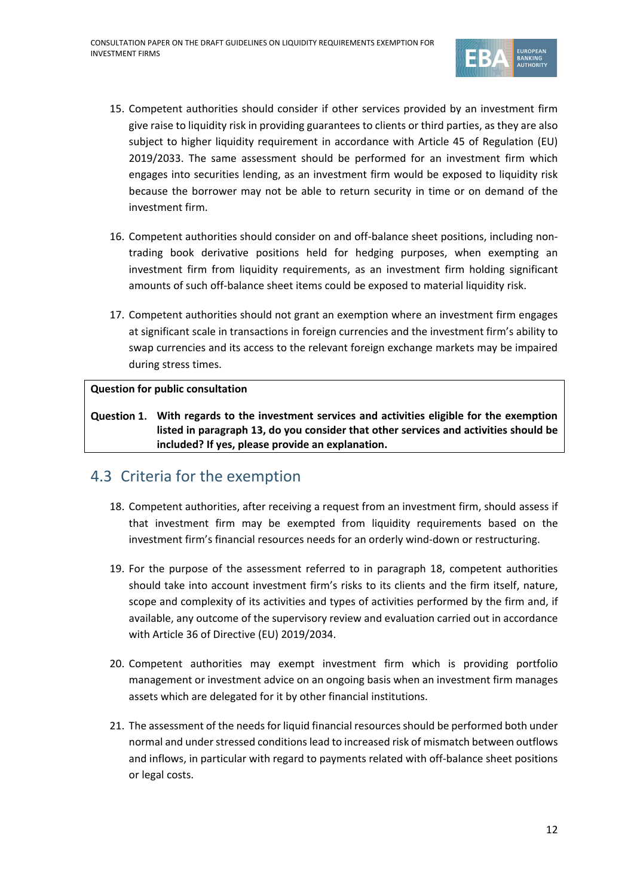

- 15. Competent authorities should consider if other services provided by an investment firm give raise to liquidity risk in providing guarantees to clients or third parties, as they are also subject to higher liquidity requirement in accordance with Article 45 of Regulation (EU) 2019/2033. The same assessment should be performed for an investment firm which engages into securities lending, as an investment firm would be exposed to liquidity risk because the borrower may not be able to return security in time or on demand of the investment firm.
- 16. Competent authorities should consider on and off-balance sheet positions, including nontrading book derivative positions held for hedging purposes, when exempting an investment firm from liquidity requirements, as an investment firm holding significant amounts of such off-balance sheet items could be exposed to material liquidity risk.
- 17. Competent authorities should not grant an exemption where an investment firm engages at significant scale in transactions in foreign currencies and the investment firm's ability to swap currencies and its access to the relevant foreign exchange markets may be impaired during stress times.

### **Question for public consultation**

**With regards to the investment services and activities eligible for the exemption listed in paragraph 13, do you consider that other services and activities should be included? If yes, please provide an explanation.**

### 4.3 Criteria for the exemption

- 18. Competent authorities, after receiving a request from an investment firm, should assess if that investment firm may be exempted from liquidity requirements based on the investment firm's financial resources needs for an orderly wind-down or restructuring.
- 19. For the purpose of the assessment referred to in paragraph 18, competent authorities should take into account investment firm's risks to its clients and the firm itself, nature, scope and complexity of its activities and types of activities performed by the firm and, if available, any outcome of the supervisory review and evaluation carried out in accordance with Article 36 of Directive (EU) 2019/2034.
- 20. Competent authorities may exempt investment firm which is providing portfolio management or investment advice on an ongoing basis when an investment firm manages assets which are delegated for it by other financial institutions.
- 21. The assessment of the needs for liquid financial resources should be performed both under normal and under stressed conditions lead to increased risk of mismatch between outflows and inflows, in particular with regard to payments related with off-balance sheet positions or legal costs.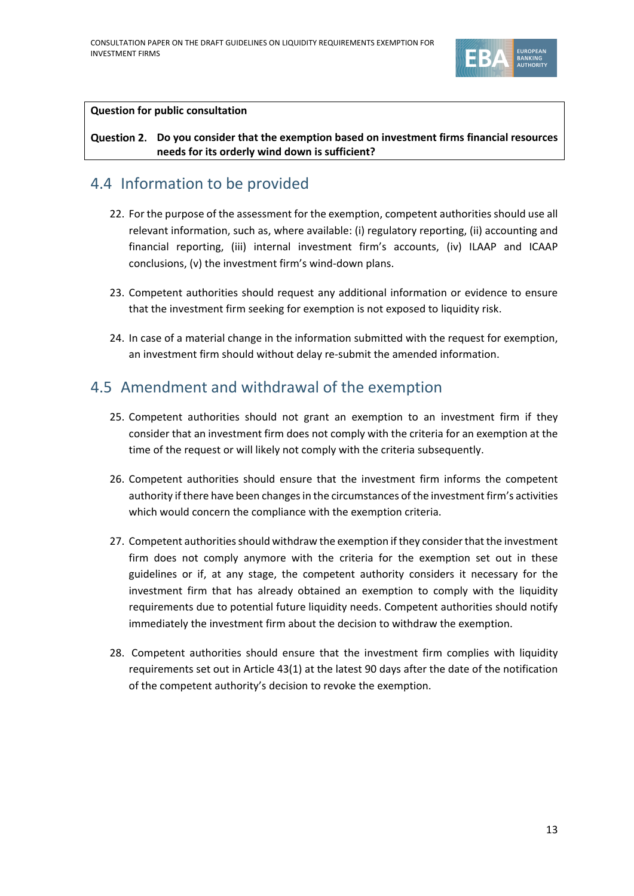

#### **Question for public consultation**

### **Do you consider that the exemption based on investment firms financial resources needs for its orderly wind down is sufficient?**

### 4.4 Information to be provided

- 22. For the purpose of the assessment for the exemption, competent authorities should use all relevant information, such as, where available: (i) regulatory reporting, (ii) accounting and financial reporting, (iii) internal investment firm's accounts, (iv) ILAAP and ICAAP conclusions, (v) the investment firm's wind-down plans.
- 23. Competent authorities should request any additional information or evidence to ensure that the investment firm seeking for exemption is not exposed to liquidity risk.
- 24. In case of a material change in the information submitted with the request for exemption, an investment firm should without delay re-submit the amended information.

### 4.5 Amendment and withdrawal of the exemption

- 25. Competent authorities should not grant an exemption to an investment firm if they consider that an investment firm does not comply with the criteria for an exemption at the time of the request or will likely not comply with the criteria subsequently.
- 26. Competent authorities should ensure that the investment firm informs the competent authority if there have been changes in the circumstances of the investment firm's activities which would concern the compliance with the exemption criteria.
- 27. Competent authorities should withdraw the exemption if they consider that the investment firm does not comply anymore with the criteria for the exemption set out in these guidelines or if, at any stage, the competent authority considers it necessary for the investment firm that has already obtained an exemption to comply with the liquidity requirements due to potential future liquidity needs. Competent authorities should notify immediately the investment firm about the decision to withdraw the exemption.
- 28. Competent authorities should ensure that the investment firm complies with liquidity requirements set out in Article 43(1) at the latest 90 days after the date of the notification of the competent authority's decision to revoke the exemption.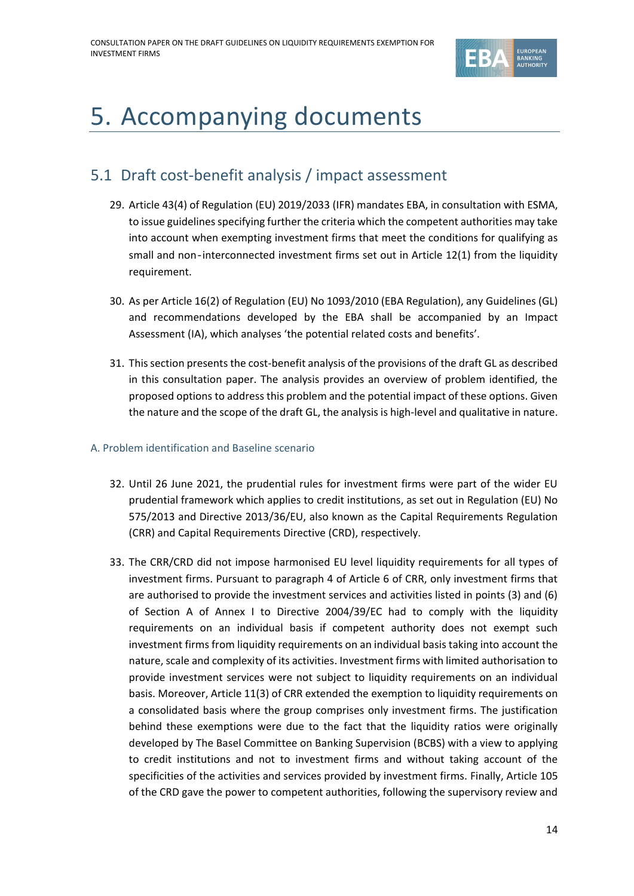

# <span id="page-13-0"></span>5. Accompanying documents

## <span id="page-13-1"></span>5.1 Draft cost-benefit analysis / impact assessment

- 29. Article 43(4) of Regulation (EU) 2019/2033 (IFR) mandates EBA, in consultation with ESMA, to issue guidelines specifying further the criteria which the competent authorities may take into account when exempting investment firms that meet the conditions for qualifying as small and non-interconnected investment firms set out in Article 12(1) from the liquidity requirement.
- 30. As per Article 16(2) of Regulation (EU) No 1093/2010 (EBA Regulation), any Guidelines (GL) and recommendations developed by the EBA shall be accompanied by an Impact Assessment (IA), which analyses 'the potential related costs and benefits'.
- 31. This section presents the cost-benefit analysis of the provisions of the draft GL as described in this consultation paper. The analysis provides an overview of problem identified, the proposed options to address this problem and the potential impact of these options. Given the nature and the scope of the draft GL, the analysis is high-level and qualitative in nature.

### A. Problem identification and Baseline scenario

- 32. Until 26 June 2021, the prudential rules for investment firms were part of the wider EU prudential framework which applies to credit institutions, as set out in Regulation (EU) No 575/2013 and Directive 2013/36/EU, also known as the Capital Requirements Regulation (CRR) and Capital Requirements Directive (CRD), respectively.
- 33. The CRR/CRD did not impose harmonised EU level liquidity requirements for all types of investment firms. Pursuant to paragraph 4 of Article 6 of CRR, only investment firms that are authorised to provide the investment services and activities listed in points (3) and (6) of Section A of Annex I to Directive 2004/39/EC had to comply with the liquidity requirements on an individual basis if competent authority does not exempt such investment firms from liquidity requirements on an individual basis taking into account the nature, scale and complexity of its activities. Investment firms with limited authorisation to provide investment services were not subject to liquidity requirements on an individual basis. Moreover, Article 11(3) of CRR extended the exemption to liquidity requirements on a consolidated basis where the group comprises only investment firms. The justification behind these exemptions were due to the fact that the liquidity ratios were originally developed by The Basel Committee on Banking Supervision (BCBS) with a view to applying to credit institutions and not to investment firms and without taking account of the specificities of the activities and services provided by investment firms. Finally, Article 105 of the CRD gave the power to competent authorities, following the supervisory review and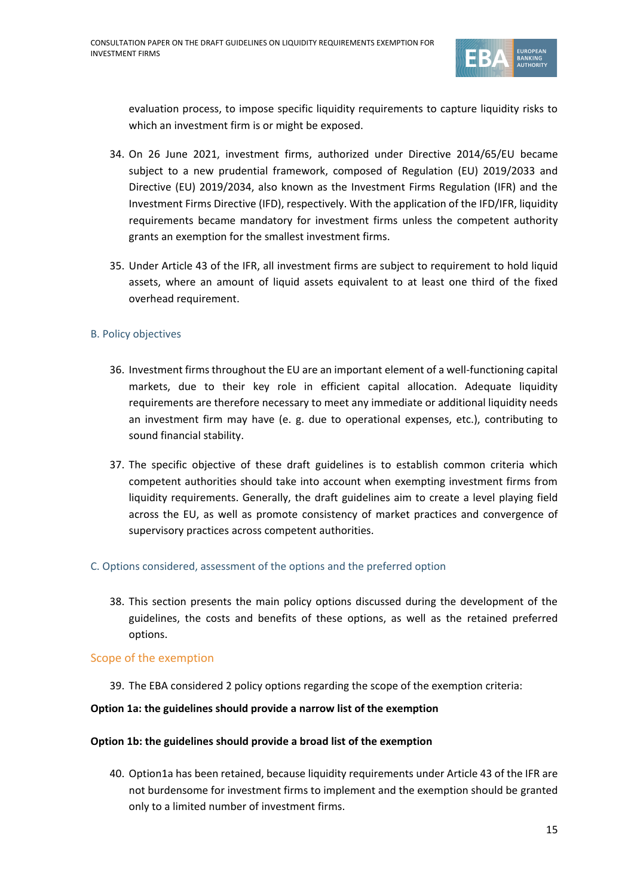

evaluation process, to impose specific liquidity requirements to capture liquidity risks to which an investment firm is or might be exposed.

- 34. On 26 June 2021, investment firms, authorized under Directive 2014/65/EU became subject to a new prudential framework, composed of Regulation (EU) 2019/2033 and Directive (EU) 2019/2034, also known as the Investment Firms Regulation (IFR) and the Investment Firms Directive (IFD), respectively. With the application of the IFD/IFR, liquidity requirements became mandatory for investment firms unless the competent authority grants an exemption for the smallest investment firms.
- 35. Under Article 43 of the IFR, all investment firms are subject to requirement to hold liquid assets, where an amount of liquid assets equivalent to at least one third of the fixed overhead requirement.

#### B. Policy objectives

- 36. Investment firms throughout the EU are an important element of a well-functioning capital markets, due to their key role in efficient capital allocation. Adequate liquidity requirements are therefore necessary to meet any immediate or additional liquidity needs an investment firm may have (e. g. due to operational expenses, etc.), contributing to sound financial stability.
- 37. The specific objective of these draft guidelines is to establish common criteria which competent authorities should take into account when exempting investment firms from liquidity requirements. Generally, the draft guidelines aim to create a level playing field across the EU, as well as promote consistency of market practices and convergence of supervisory practices across competent authorities.

#### C. Options considered, assessment of the options and the preferred option

38. This section presents the main policy options discussed during the development of the guidelines, the costs and benefits of these options, as well as the retained preferred options.

#### Scope of the exemption

39. The EBA considered 2 policy options regarding the scope of the exemption criteria:

#### **Option 1a: the guidelines should provide a narrow list of the exemption**

#### **Option 1b: the guidelines should provide a broad list of the exemption**

40. Option1a has been retained, because liquidity requirements under Article 43 of the IFR are not burdensome for investment firms to implement and the exemption should be granted only to a limited number of investment firms.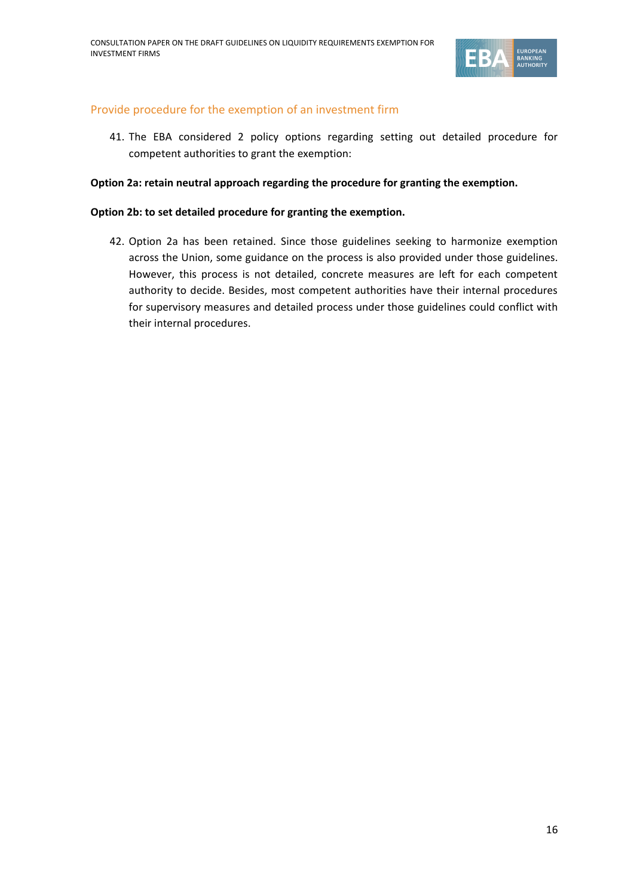

### Provide procedure for the exemption of an investment firm

41. The EBA considered 2 policy options regarding setting out detailed procedure for competent authorities to grant the exemption:

#### **Option 2a: retain neutral approach regarding the procedure for granting the exemption.**

#### **Option 2b: to set detailed procedure for granting the exemption.**

42. Option 2a has been retained. Since those guidelines seeking to harmonize exemption across the Union, some guidance on the process is also provided under those guidelines. However, this process is not detailed, concrete measures are left for each competent authority to decide. Besides, most competent authorities have their internal procedures for supervisory measures and detailed process under those guidelines could conflict with their internal procedures.